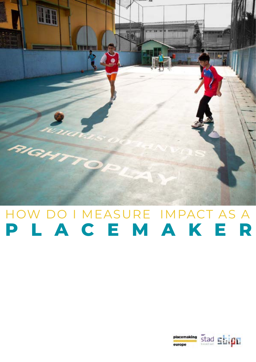

### HOW DO I MEASURE IMPACT AS A **PLACEMAKER**

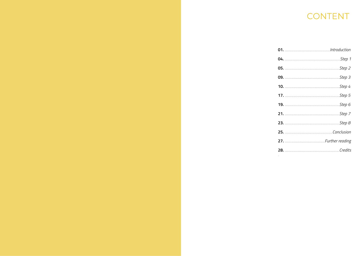### CONTENT

| <b>05.</b> Step 2 |  |
|-------------------|--|
|                   |  |
| <b>10.</b> Step 4 |  |
|                   |  |
|                   |  |
|                   |  |
|                   |  |
|                   |  |
|                   |  |
|                   |  |
|                   |  |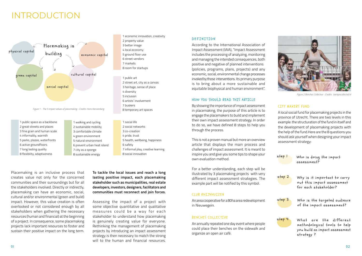### INTRODUCTION

Placemaking is an inclusive process that creates value not only for the concerned communities and their surroundings but for all the stakeholders involved. Directly or indirectly, placemaking can have an economic, social, cultural and/or environmental (green and build) impact. However, this value creation is often overlooked or not considered enough by all stakeholders when gathering the necessary resources (human and financial) at the beginning of a project. In consequence, some placemaking projects lack important resources to foster and sustain their positive impact on the long term.

Assessing the impact of a project with some objective quantitative and qualitative measures could be a way for each stakeholder to understand how placemaking is genuinely creating value for everyone. Rethinking the management of placemaking projects by introducing an impact assessment strategy is then necessary to match the strong will to the human and financial resources.

### **DEFINITION**

**To tackle the local issues and reach a long lasting positive impact, each placemaking stakeholder such as municipalities, real estate developers, investors, designers, facilitators and communities must reconnect and join forces.** 



According to the International Association of Impact Assessment (IAIA), "Impact Assessment includes the processing of analyzing, monitoring and managing the intended consequences, both positive and negative of planned interventions (policies, programs, plans, projects) and any economic, social, environmental change processes invoked by those interventions. Its primary purpose is to bring about a more sustainable and equitable biophysical and human environment".

### HOW YOU SHOULD READ THIS ARTICLE

By showing the importance of impact assessment in placemaking, the purpose of this article is to engage the placemakers to build and implement their own impact assessment strategy. In order to do so, we have defined 8 steps to help you through the process.

This is not a proven manual but more an overview article that displays the main process and challenges of impact assessment. It is meant to inspire you and give you some tips to shape your own evaluation method.

For a better understanding, each step will be illustrated by 3 placemaking projects with very different impact assessment strategies. The example part will be notified by this symbol.

### CLUB RHIJNHUIZEN

An area cooperative for a 80ha area redevelopment in Nieuwegein.

### BENCHES COLLECTIVE

An annually repeated one day event where people could place their benches on the sidewalk and organize an open air café.

### CITY MAKERS FUND

A local social fund for placemaking projects in the province of Utrecht. There are two levels in this example: the structuration of the fund in itself and the development of placemaking projects with the help of the fund.Here are the 8 questions you should ask yourself when designing your impact assessment strategy:

| step l | Who is doing the impact<br>assessment?                                                                 |
|--------|--------------------------------------------------------------------------------------------------------|
| step 2 | Why is it important to carry<br>out this impact assessment<br>for each stakeholder?                    |
| step 3 | Who is the targeted audience<br>of the impact assessment?                                              |
| step 4 | What are the different<br>methodological tools to help<br>you build an impact assessment<br>strategy ? |



*Figure 2 Benches Collective - Credits: bankjescollectief.nl*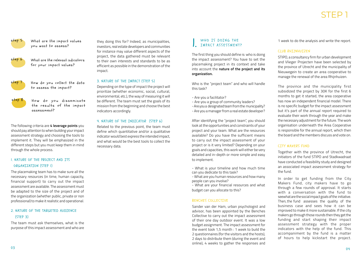

step S What are the impact values you want to assess?



The following criteria are **4 leverage points** you should pay attention to when building your impact assessment strategy and choosing the tools to implement it. They will be emphasized in the different steps but you must keep them in mind through the whole process.

### I NATURE OF THE PROJECT AND TTS ORGANIZATION (STEP 1)

The placemaking team has to make sure all the necessary resources (in time, human capacity, financial support) to carry out the impact assessment are available. The assessment must be adapted to the size of the project and of the organization (whether public, private or non professional) to make it realistic and operational.

### 2. NATURE OF THE TARGETED AUDIENCE (STEP 3)

The team must ask themselves, what is the purpose of this impact assessment and who are

The first thing you should define is: who is doing the impact assessment? You have to set the placemaking project in its context and take into account the **nature of the project and its organization.**

Who is the "project team" and who will handle this task?

- Are you a facilitator?
- Are you a group of community leaders?
- Are you a designated team from the municipality?
- Are you a manager from a real estate developer?

After identifying the "project team", you should look at the opportunities and constraints of your project and your team. What are the resources available? Do you have the sufficient means to carry out the impact assessment of your project or is it very limited? Depending on your goals and capacities, this work will either be very detailed and in-depth or more simple and easy to implement.

- What is your timeline and how much time can you dedicate to this task?

- What are you human resources and how many people can you involve?

- What are your financial resources and what budget can you allocate to this?

### BENCHES COLLECTIVE

Sander van der Ham, urban psychologist and advisor, has been appointed by the Benches Collective to carry out the impact assessment of their one day outdoor event. It was a low budget assignment. The impact assessment for the event took 1,5 month : 1 week to build the 2 questionnaires (for the visitors and the hosts), 2 days to distribute them (during the event and online), 4 weeks to gather the responses and

### STED<sup>1</sup>

### CLUB RHIJNHUIZEN

STIPO, a consultancy firm for urban development and Vlieger Projecten have been selected by the province of Utrecht and the municipality of Nieuwegein to create an area cooperative to manage the renewal of the area Rhijnhuizen.

step 6 What are the relevant indicators for your impact values?



step 7 How do you collect the data to assess the impact?

step 8 How do you disseminate the results of the impact assessment?

The province and the municipality first subsidized the project by 30K for the first 6 months to get it started, the area cooperative has now an independent financial model. There is no specific budget for the impact assessment but it's part of the annual report required to evaluate their work through the year and make the necessary adjustment for the future. The work organisation underneath the Area Cooperative is responsible for the annual report, which then the board and the members discuss and vote on.

### CITY MAKERS FUND

Together with the province of Utrecht, the initiators of the fund STIPO and Stadkwadraat have conducted a feasibility study and designed an associated impact assessment strategy for the fund.

In order to get funding from the City Makers Fund, city makers have to go through a few rounds of approval. It starts with a conversation with the fund to seewhat are the social impact goals of the initiative. Then, the fund assesses the quality of the business case and sees how it can be improved to make it more sustainable. If the city makers go through those rounds then they get the funding and start shaping their impact assessment strategy with the proper indicators with the help of the fund. This accompaniment by the fund is a matter of hours to help kickstart the project.

1. 1 week to do the analysis and write the report.

they doing this for? Indeed, as municipalities, investors, real estate developers and communities for instance may value different aspects of the project, the data gathered must be relevant to their own interests and standards to be as efficient as possible in the demonstration of the impact.

### 3. NATURE OF THE IMPACT (STEP 5)

Depending on the type of impact the project will prioritize (whether economic, social, cultural, environmental, etc.), the way of measuring it will be different. The team must set the goals of its mission from the beginning and choose the best indicators accordingly.

### 4. NATURE OF THE INDICATOR (STEP 6)

Related to the previous point, the team must define which quantitative and/or a qualitative indicator would best express the intended impact, and what would be the best tools to collect the necessary data.

### WHO IS DOING THE I. IMPACT ASSESSMENT?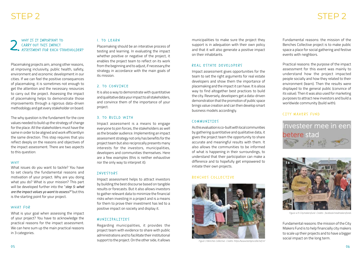WHY IS IT IMPORTANT TO CARRY OUT THIS IMPACT ASSESSMENT FOR EACH STAKEHOLDER? WHY IS IT IMPORTANT TO BEARN<br>CARRY OUT THIS IMPACT Placemaking s<br>ASSESSMENT FOR EACH STAKEHOLDER? testing and lea

Placemaking projects aim, among other reasons, at improving inclusivity, public health, safety, environment and economic development in our cities. If we can feel the positive consequences of placemaking, it is sometimes not enough to get the attention and the necessary resources to carry out the project. Assessing the impact of placemaking helps to demonstrate those improvements through a rigorous data-driven methodology and get every stakeholder on board.

The why question is the fundament for the core values needed to build up the strategy of change for the place. All the stakeholders must have the same in order to be aligned and work efficientlyin the same direction. This step requires that you reflect deeply on the reasons and objectives of the impact assessment. There are two aspects to this question:

#### WHY

What issues do you want to tackle? You have to set clearly the fundamental reasons and motivation of your project. Why are you doing what you do? What is your mission? This part will be developed further into the "*step 5: what are the impact values yo want to assess?''* but this is the starting point for your project.

#### WHAT FOR

What is your goal when assessing the impact of your project? You have to acknowledge the practical reasons for the impact assessment. We can here sum up the main practical reasons in 3 categories.

Placemaking should be an interative process of testing and learning. In evaluating the impact whether positive or negative of the project, it enables the project team to reflect on its work from the beginning and to adjust, if necessary,the strategy in accordance with the main goals of its mission.

### 2. TO CONVINCE

It is also a way to demonstrate with quantitative and qualitative data your impact to all stakeholders, and convince them of the importance of your project.

### 3. TO BUILD WITH

Impact assessment is a means to engage everyone to join forces, the stakeholders as well as the broader audience. Implementing an impact assessment strategy not only has benefits for the project team but also reciprocally presents many interests for the investors, municipalities, developers and communities themselves. Here are a few examples (this is neither exhaustive nor the only way to interpret it):

> Fundamental reasons: the mission of the City Makers Fund is to help financially city makers to scale up their projects and to have a bigger social impact on the long term.<br>Figure 3 Benches Collective- Credits: https://www.bankiescollectief.nl/

### INVESTORS

Impact assessment helps to attract investors by building the best discourse based on tangible results or forecasts. But it also allows investors to gather relevant data to minimize the financial risks when investing in a project and is a means for them to prove their investment has led to a positive impact on society and display it.

### MUNTCTPAITTTES

Regarding municipalities, it provides the project team with evidence to share with public administrations and to facilitate their institutional support to the project. On the other side, it allows

### STEP 2

municipalities to make sure the project they support is in adequation with their own policy and that it will also generate a positive impact on their inhabitants.

### REAL ESTATE DEVELOPERS

Impact assessment gives opportunities for the team to set the right arguments for real estate developers and show them the importance of placemaking and the impact it can have. It is alsoa way to find altogether best practices to build the city. Reversely, developers get a data-driven demonstration that the promotion of public space brings value creation and can then develop smart business models accordingly.

### COMMUNITIES

As this evaluation is co-built with local communities by gathering quantitative and qualitative data, it gives the project team the opportunity to share accurate and meaningful results with them. It also allows the communities to be informed of what is happening in their surroundings, to understand that their participation can make a difference and to hopefully get empowered to initiate their own projects.

### BENCHES COLLECTIVE



### STEP 2

Fundamental reasons: the mission of the Benches Collective project is to make public space a place for social gathering and festive events with neighbors.

Practical reasons: the purpose of the impact assessment for this event was mainly to understand how the project impacted people socially and how they related to their environment (learn). Then the results were displayed to the general public (convince of its value). Then it was also used for marketing purposes to attract new investors and build a worldwide community (build with).

### CITY MAKERS FUND





*Figure 4/5 Citymakersfund- Credits: facebook/stadmakersfonds*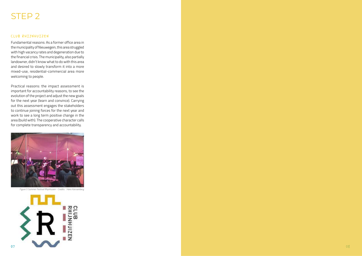08

### CLUB RHIJNHUIZEN

Fundamental reasons: As a former office area in the municipality of Nieuwegein, this area struggled with high vacancy rates and degeneration due to the financial crisis. The municipality, also partially landowner, didn't know what to do with this area and desired to slowly transform it into a more mixed-use, residential-commercial area more welcoming to people.

Practical reasons: the impact assessment is important for accountability reasons, to see the evolution of the project and adjust the new goals for the next year (learn and convince). Carrying out this assessment engages the stakeholders to continue joining forces for the next year and work to see a long term positive change in the area (build with). The cooperative character calls for complete transparency and accountability.



*Figure 5 Summer Festival Rhijnhuizen - Credits: Hans Karssenberg*

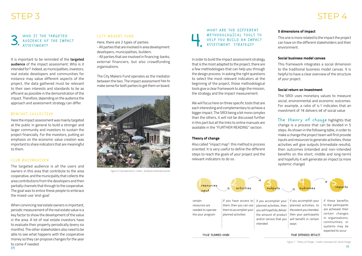It is important to be reminded of the **targeted audience** of the impact assessment. Who is it intended for? Indeed, as municipalities, investors, real estate developers and communities for instance may value different aspects of the project, the data gathered must be relevant to their own interests and standards to be as efficient as possible in the demonstration of the impact. Therefore, depending on the audience the approach and assessment strategy can differ.

### BENCHES COLLECTIVE

Here the impact assessment was mainly targeted at the public in general to build a stronger and larger community and investors to sustain the project financially. For the investors, putting an emphasis on the economic value creation was important to share indicators that are meaningful to them.

### CLUB RHIJNHUIZEN

The targeted audience is all the users and owners in this area that contribute to the area cooperative, and the municipality that collects the area contributions from the developers and then partially channels that through to the cooperative. The goal was to entice these people to embrace the mixed-use 'end-goal'.

When convincing real estate owners is important, periodic measurement of the real estate value is a key factor to show the development of the value in the area. A lot of real estate investors have to evaluate their property periodically (every six months). The other stakeholders also need to be able to see what happens with the cooperative money so they can propose changes for the year to come if needed.

#### CITY MAKERS FUND

Here, there are 2 types of parties:

- All parties that are involved in area development: developers, municipalities, builders.

- All parties that are involved in financing: banks, external financiers, but also crowdfunding organisations.

The City Makers Fund operates as the mediator between the two. The impact assessment has to make sense for both parties to get them on board.



The theory of change highlights that change is a process that can be divided in 5 steps. As shown in the following table, in order to make a change the project team will first provide inputs and resources to generate activities, those activities will give outputs (immediate results), then outcomes (intended and non-intended benefits on the short, middle and long-term) and hopefully it will generate an impact (a more systemic change)

### STEP 3

### WHO IS THE TARGETED AUDIENCE OF THE IMPACT

### STEP 4

In order to build the impact assessment strategy that is the most adapted to the project, there are a few methodologies that can help you through the design process. In asking the right questions to select the most relevant indicators at the beginning of the project, those methodological tools give a clear framework to align the mission, the strategy and the impact measurement.

We will focus here on three specific tools that are each interesting and complementary to achieve a bigger impact. The SROI being a bit more complex than the others, it will not be discussed further in this part but all the links to online manuals are available in the "FURTHER READING" section.

#### **Theory of change**

Also called "impact map": this method is process oriented. It is very useful to define the different steps to reach the goals of your project and the relevant indicators to do so.

### **5 dimensions of impact**

This one is more related to the impact the project can have on the different stakeholders and their environment.

#### **Social business model canvas**

This framework integrates a social dimension to the traditional business model canvas. It is helpful to have a clear overview of the structure of your project.

### **Social return on investment**

The SROI uses monetary values to measure social, environmental and economic outcomes. For example, a ratio of 4:1 indicates that an investment of 1€ delivers 4€ of social value



*Figure 7 : Theory of Change - Credits: Innovation for Social Change*

*Figure 6 Citymakersfund- Credits: facebook/stadmakersfonds*

WHAT ARE THE DIFFERENT METHODOLOGICAL TOOLS TO HELP YOU BUILD AN IMPACT<br>ASSESSMENT STRATEGY?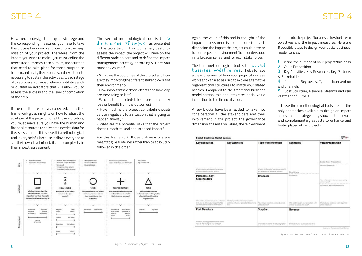The second methodological tool is the 5 dimensions of impact, as presented in the table below. This tool is very useful to assess the impact the project will have on the different stakeholders and to define the impact management strategy accordingly. Here you must ask yourself:

- What are the outcomes of the project and how are they impacting the different stakeholders and their environment?

- How important are those effects and how long are they going to last?

- Who are the impacted stakeholders and do they lose or benefit from the outcomes?

- How much is the project contributing positi vely or negatively to a situation that is going to happen anyway?

- What are the potential risks that the project doesn't reach its goal and intended impact?

For this framework, those 5 dimensions are meant to give guidelines rather than be absolutely followed in this order.



However, to design the impact strategy and the corresponding measures, you have to take this process backwards and start from the deep mission of your project. Therefore, from the impact you want to make, you must define the forecasted outcomes, then outputs, the activities that need to take place for those outputs to happen, and finally the resources and investments necessary to sustain the activities. At each stage of this process, you must define quantitative and/ or qualitative indicators that will allow you to assess the success and the level of completion of the step.

The third methodological tool is the  $\frac{1}{2}$ business model canvas. It helps to have a clear overview of how your project/business works and can also be used to explore alternative organisational structures to match your stated mission. Compared to the traditional business model canvas, this one integrates social value in addition to the financial value.

4. Customer Segments, Type of Intervention and Channels

If the results are not as expected, then this framework gives insights on how to adjust the strategy of the project. For all those indicators, you must make sure you have the human and financial resources to collect the needed data for the assessment. In this sense, this methodological tool is very helpful because it allows everyone to set their own level of details and complexity in their impact assessment.

### STEP 4

Again, the value of this tool in the light of the impact assessment is to measure for each dimension the impact the project could have or had on a specific environment (to be understood in its broader sense) and for each stakeholder.

A few blocks have been added to take into consideration all the stakeholders and their involvement in the project, the governance dimension, the mission values, the reinvestment

| Social Business Model Canvas                                                                                                            |                                                                                           |                                                                                      |                                                                            |                                                                                                |
|-----------------------------------------------------------------------------------------------------------------------------------------|-------------------------------------------------------------------------------------------|--------------------------------------------------------------------------------------|----------------------------------------------------------------------------|------------------------------------------------------------------------------------------------|
| <b>Key Resources</b>                                                                                                                    | <b>Key Activities</b>                                                                     | Type of Intervention                                                                 | Segments                                                                   | <b>Value Proposition</b>                                                                       |
| What respurces will you need to net your<br>activities! People, finance, access?                                                        |                                                                                           | What is the formal of your intervention? It-<br>it a workshop? A service? A product? | Beneficiary                                                                | Social Value Proposition<br>the late relations that the color of the charge<br>Impact Measures |
| Partners + Key<br><b>Stakeholders</b>                                                                                                   |                                                                                           | <b>Channels</b>                                                                      | <b>8.8.6 9.9 8 9 9 9 9 0 1 8 9 9 8 8 9 9 0 1</b><br>Customer               | How will you show that you are overding<br>anti tieri impiani: 1<br>Contamic Value Prographics |
| Who are the essential groups you will need.<br>to involve to deliver your programma? Do<br>Nanoisming to testing lanced lanes lanes use | What programme and non-programme<br>ectivities will your organisation by complete<br>put? | How are you resulting your beneficients.<br>and patement?                            | Whe are the anyale or organizations what<br>will you to automa this issue? | What do your customers want to get out.<br>of this initiative?                                 |
| <b>Cost Structure</b>                                                                                                                   |                                                                                           | <b>Surplus</b>                                                                       | Revenue                                                                    |                                                                                                |
| what are your biggest expenditure away."<br>How do they change or you stale sa?                                                         |                                                                                           | Where do you plan to invest your profits?                                            | finni Joan your revenue sources by %                                       |                                                                                                |

of profit into the project/business, the short-term objectives and the impact measures. Here are 5 possible steps to design your social business model canvas:

1. Define the purpose of your project/business

2. Value Proposition

3. Key Activities, Key Resources, Key Partners & Stakeholders

5. Cost Structure, Revenue Streams and rein vestment of Surplus

If those three methodological tools are not the only approaches available to design an impact assessment strategy, they show quite relevant and complementary aspects to enhance and foster placemaking projects.

*Figure 9 : Social Business Model Canvas - Credits: Social Innovation Lab*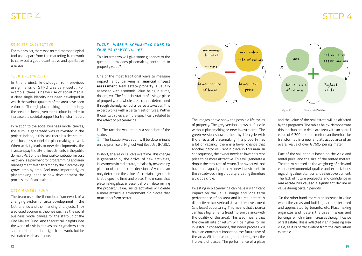### BENCHES COLLECTIVE

For this project, there was no real methodological tool used apart from the marketing framework to carry out a good quantitative and qualitative analysis

### CLUB RHIJNHUIZEN

In this project, knowledge from previous assignments of STIPO was very useful. For example, there is heavy use of social media. A clear single identity has been developed in which the various qualities of the area have been enforced. Through placemaking and marketing, the area has been given extra colour in order to increase the societal support for transformation.

### FOCUS: WHAT PLACEMAKING DOES TO YOUR PROPERTY VALUE?

In relation to the social business model canvas, the surplus generated was reinvested in the project. Indeed, in this case there is a clear multiyear business model for placemaking as well. When activity leads to new developments, the investors pay the city for investments in the public domain. Part of their financial contribution in cost recovery is a payment for programming and area management. With this money the placemaking grows step by step. And more importantly, as placemaking leads to new development the process itself can scale up.

### CITY MAKERS FUND

2. The taxation/valuation will be determinant on the premise of Highest And Best Use (HABU).

The team used the theoretical framework of a changing system of area development in the Netherlands and the financing of projects. They also used economic theories such as the social business model canvas for the start-up of the City Makers Fund. And theoretical insights into the world of civic initiatives and citymakers: they should not be put in a tight framework, but be evaluated each as unique.

This intermezzo will give some guidance to the question: how does placemaking contribute to property value?

One of the most traditional ways to measure impact is by carrying a **financial impact assessment**. Real estate property is usually assessed with economic value, being in euros, dollars, etc. The financial status of a single piece of property, or a whole area, can be determined through the judgment of a real estate valuer. This expert works with a certain set of rules. Within those, two rules are more specifically related to the effect of placemaking:

1. The taxation/valuation is a snapshot of the status quo.

In short, an area will evolve over time. This change is generated by the arrival of new activities, investments in real estate, but also by new zoning plans or other municipal decisions. A valuer can only determine the value of a certain object as it is at a specific time and place. This means that placemaking plays an essential role in determining the property value, as its activities will create a more attractive environment. So places that matter perform better.

### STEP 4



The images above show the possible life cycles of property. The grey version shows a life cycle without placemaking or new investments. The green version shows a healthy life cycle with the effects of placemaking. If a property has a lot of vacancy, there is a lower chance that another party will rent a place in this area. In consequence, the owner needs to lower his rent price to be more attractive. This will generate a drop in the total rate of return. The owner will not have the capacity to make new investments in the already declining property, creating therefore a vicious circle.

Investing in placemaking can have a significant impact on the value, image and long term performance of an area and its real estate. A distinctive mix (use) leads to a better investment (and lease) opportunity. This means that the area can have higher rents (read more in balance with the quality of the area). This also means that the overall rate of return will be higher for an investor. In consequence, this whole process will have an enormous impact on the future use of the area. Alternative programs strengthen the life cycle of places. The performance of a place



and the value of the real estate will be affected by the programs. The tables below demonstrate this mechanism. A desolate area with an overall value of  $\epsilon$  300,- per sq. meter can therefore be transformed in a new and attractive area of an overall value of over € 760,- per sq. meter.

Part of the valuation is based on the yield and rental price, and the size of the rented meters. The return is based on the weighting of risks and value, environmental quality and expectations regarding value retention and value development. The lack of future prospects and confidence in real estate has caused a significant decline in value during certain periods.

 On the other hand, there is an increase in value when the areas and buildings are better used and appreciated by tenants, etc. Placemaking organizes and fosters the uses in areas and buildings, which in turn increases the significance of real estate. This is reflected in an increasing area yield, as it is partly evident from the calculation example.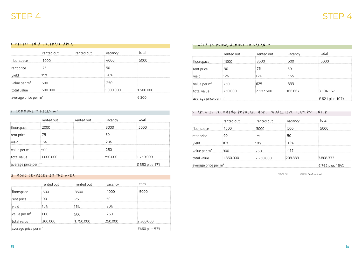### 1. OFFICE IN A SOLIDATE AREA

### 2. COMMUNITY FILLS m²

### 3. MORE SERVICES IN THE AREA

|                | rented out                                | rented out | vacancy   | total     |  |
|----------------|-------------------------------------------|------------|-----------|-----------|--|
| floorspace     | 1000                                      |            | 4000      | 5000      |  |
| rent price     | 75                                        |            | 50        |           |  |
| vield          | 15%                                       |            | 20%       |           |  |
| value per $m2$ | 500                                       |            | 250       |           |  |
| total value    | 500.000                                   |            | 1.000.000 | 1.500.000 |  |
|                | average price per m <sup>2</sup><br>€ 300 |            |           |           |  |

|                                  | rented out | rented out | vacancy | total          |
|----------------------------------|------------|------------|---------|----------------|
| floorspace                       | 2000       |            | 3000    | 5000           |
| rent price                       | 75         |            | 50      |                |
| vield                            | 15%        |            | 20%     |                |
| value per $m2$                   | 500        |            | 250     |                |
| total value                      | 1.000.000  |            | 750,000 | 1.750.000      |
| average price per m <sup>2</sup> |            |            |         | € 350 plus 17% |

|                                                   | rented out | rented out | vacancy | total     |
|---------------------------------------------------|------------|------------|---------|-----------|
| floorspace                                        | 500        | 3500       | 1000    | 5000      |
| rent price                                        | 90         | 75         | 50      |           |
| yield                                             | 15%        | 15%        | 20%     |           |
| value per $m2$                                    | 600        | 500        | 250     |           |
| total value                                       | 300,000    | 1.750.000  | 250,000 | 2.300.000 |
| average price per m <sup>2</sup><br>€460 plus 53% |            |            |         |           |

### STEP 4

### 4. AREA IS KNOW, ALMOST NO VACANCY

### 5. AREA IS BECOMING POPULAR, MORE ''QUALITIVE PLAYERS'' ENTER

|                        | rented out      | rented out | vacancy | total     |
|------------------------|-----------------|------------|---------|-----------|
| floorspace             | 1000            | 3500       | 500     | 5000      |
| rent price             | 90              | 75         | 50      |           |
| yield                  | 12%             | 12%        | 15%     |           |
| value per $m2$         | 750             | 625        | 333     |           |
| total value            | 750.000         | 2.187.500  | 166.667 | 3.104.167 |
| average price per $m2$ | € 621 plus 107% |            |         |           |

|                                  | rented out      | rented out | vacancy | total     |
|----------------------------------|-----------------|------------|---------|-----------|
| floorspace                       | 1500            | 3000       | 500     | 5000      |
| rent price                       | 90              | 75         | 50      |           |
| vield                            | 10%             | 10%        | 12%     |           |
| value per $m2$                   | 900             | 750        | 417     |           |
| total value                      | 1.350.000       | 2.250.000  | 208.333 | 3.808.333 |
| average price per m <sup>2</sup> | € 762 plus 154% |            |         |           |

*Figure 11: \_\_\_\_\_\_ - Credits: \_\_\_\_\_\_\_\_ Stadkwadraat*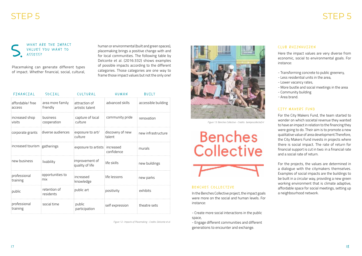### WHAT ARE THE IMPACT VALUES YOU WANT TO

Placemaking can generate different types of impact. Whether financial, social, cultural,

human or environmental (built and green spaces), placemaking brings a positive change with and for local communities. The following table by Delconte et al. (2016:332) shows examples of possible impacts according to the different categories. Those categories are one way to frame those impact values but not the only one!

| FINANCIAL                    | SOCIAL                       | CULTURAL                          | HUMAN                      | BUILT               |
|------------------------------|------------------------------|-----------------------------------|----------------------------|---------------------|
| affordable/free<br>access    | area more family<br>friendly | attraction of<br>artistic talent  | advanced skills            | accessible building |
| increased shop<br>visits     | business<br>cooperation      | capture of local<br>culture       | community pride            | renovation          |
| corporate grants             | diverse audiences            | exposure to art/<br>culture       | discovery of new<br>talent | new infrastructure  |
| increased tourism gatherings |                              | exposure to artists increased     | confidence                 | murals              |
| new business                 | livability                   | improvement of<br>quality of life | life skills                | new buildings       |
| professional<br>training     | opportunities to<br>mix      | increased<br>knowledge            | life lessons               | new parks           |
| public                       | retention of<br>residents    | public art                        | positivity                 | exhibits            |
| professional<br>training     | social time                  | public<br>participation           | self expression            | theatre sets        |

*Figure 12 : Impacts of Placemaking - Credits: Delconte et al.*

Here the impact values are very diverse from economic, social to environmental goals. For instance:

- Transforming concrete to public greenery,
- Less residential units in the area,
- Lower vacancy rates,
- More bustle and social meetings in the area
- Community building
- Area brand.

### CITY MAKERS FUND

For the City Makers Fund, the team started to wonder on which societal revenue they wanted to have an impact in relation to the financing they were going to do. Their aim is to promote a new qualitative value of area development.Therefore, the City Makers Fund invests in projects where there is social impact. The rate of return for financial support is cut in two: in a financial rate and a social rate of return.

For the projects, the values are determined in a dialogue with the citymakers themselves. Examples of social impacts are the buildings to be built in a circular way, providing a new green working environment that is climate adaptive, affordable space for social meetings, setting up a neighbourhood network.

In the Benches Collective project, the impact goals were more on the social and human levels. For instance:

- Create more social interactions in the public space,

- Engage different communities and different generations to encounter and exchange.

### STEP 5

### CLUB RHIJNHUIZEN



*Figure 13: Benches Collective - Credits: bankjescollectief.nl*

# **Benches** Collective



### BENCHES COLLECTIVE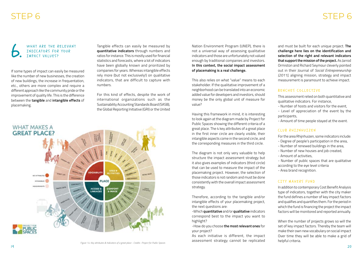### WHAT ARE THE RELEVANT INDICATORS FOR YOUR<br>IMPACT VALUES?

If some types of impact can easily be measured like the number of new businesses, the creation of new buildings, the increase in frequentation, etc., others are more complex and require a different approach like the community pride or the improvement of quality life. This is the difference between the **tangible** and **intangible effects** of placemaking.

Tangible effects can easily be measured by **quantitative indicators** through numbers and ratios for instance. This is mostly used for financial statistics and forecasts, where a lot of indicators have been globally known and prioritized by companies for years. Whereas intangible effects rely more (but not exclusively!) on qualitative indicators, that are difficult to capture with numbers.

For this kind of effects, despite the work of international organizations such as the Sustainability Accounting Standards Board (SASB), the Global Reporting Initiative (GRI) or the United



*Figure 14: Key attributes & Indicators of a great place - Credits : Project for Public Spaces*

### STEP 6

Nation Environment Program (UNEP), there is not a universal way of assessing qualitative indicators and those are unfortunately not valued enough by traditional companies and investors. **In this context, the social impact assessment of placemaking is a real challenge.** 

This also relies on what "value" means to each stakeholder. If the qualitative improvement of a neighborhood can be translated into an economic added value for developers and investors, should money be the only global unit of measure for value?

Having this framework in mind, it is interesting to look again at the diagram made by Project for Public Spaces showing the different criteria of a great place. The 4 key attributes of a great place in the first inner circle are clearly visible, their intangible aspects come in the second circle, and the corresponding measures in the third circle.

The diagram is not only very valuable to help structure the impact assessment strategy but it also gives examples of indicators (third circle) that can be used to measure the impact of the placemaking project. However, the selection of those indicators is not random and must be done consistently with the overall impact assessment strategy.

Therefore, according to the tangible and/or intangible effects of your placemaking project, the next questions are:

-Which **quantitative** and/or **qualitative** indicators correspond best to the impact you want to highlight?

-How do you choose **the most relevant ones** for your project?

As each initiative is different, the impact assessment strategy cannot be replicated and must be built for each unique project. **The challenge here lies on the identification and selection of the right and relevant indicators that support the mission of the project.** As Jarrod Ormiston and Richard Seymour cleverly pointed out in their Journal of *Social Entrepreneurship (2011)*, aligning mission, strategy and impact measurement is paramount to achieve impact.

### BENCHES COLLECTIVE

This assessment relied on both quantitative and qualitative indicators. For instance,

- Number of hosts and visitors for the event,
- Level of appreciation of the event by the participants,

- Amount of time people stayed at the event.

### CLUB RHIJNHUIZEN

For the area Rhijnhuizen, some indicators include:

- Degree of people's participation in the area,
- Number of renewed buildings in the area,
- Number of new houses and job created,
- Amount of activities,
- Number of public spaces that are qualitative according to the eye level criteria

- Area brand recognition.

### CITY MAKERS FUND

In addition to contemporary Cost Benefit Analysis type of indicators, together with the city maker the fund defines a number of key impact factors and qualifies and quantifies them. For the period in which the fund is financing the project the impact factors will be monitored and reported annually.

When the number of projects grows so will the set of key impact factors. Thereby the team will make their own new vocabulary on social impact Over time they will be able to make a grid of helpful criteria.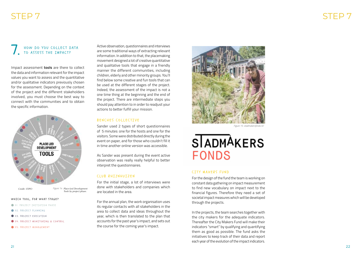### STF<sub>P</sub>

### STEP 7

## HOW DO YOU COLLECT DATA<br>TO ASSESS THE IMPACT?

Impact assessment **tools** are there to collect the data and information relevant for the impact values you want to assess and the quantitative and/or qualitative indicators previously chosen for the assessment. Depending on the context of the project and the different stakeholders involved, you must choose the best way to connect with the communities and to obtain the specific information.

Active observation, questionnaires and interviews are some traditional ways of extracting relevant information. In addition to that, the placemaking movement designed a lot of creative quantitative and qualitative tools that engage in a friendly manner the different communities, including children, elderly and other minority groups. You'll find below some creative and fun tools that can be used at the different stages of the project. Indeed, the assessment of the impact is not a one time thing at the beginning and the end of the project. There are intermediate steps you should pay attention to in order to readjust your actions to better fulfill your mission.

#### BENCHES COLLECTIVE

Sander used 2 types of short questionnaires of 5 minutes: one for the hosts and one for the visitors. Some were distributed directly during the event on paper, and for those who couldn't fill it in time another online version was accessible.

As Sander was present during the event active observation was really really helpful to better interpret the questionnaires.

#### CLUB RHIJNHUIZEN

For the initial stage, a lot of interviews were done with stakeholders and companies which are located in the area.

For the annual plan, the work organisation uses its regular contacts with all stakeholders in the area to collect data and ideas throughout the year, which is then translated to the plan that accounts for the past year's impact, and sets out the course for the coming year's impact.

#### WHICH TOOL, FOR WHAT STAGE?

- OI. PROJECT INITIATION PHASE
- 02. PROJECT PLANNING
- 03. PROJECT EXECUTION
- O 04. PROJECT MONITORING & CONTROL
- OS. PROJECT MANAGEMENT

#### CITY MAKERS FUND

For the design of the fund the team is working on constant data gathering on impact measurement to find new vocabulary on impact next to the financial figures. Therefore they need a set of societal impact measures which will be developed through the projects.

In the projects, the team searches together with the city makers for the adequate indicators. Thereafter the City Makers Fund will make their indicators "smart" by qualifying and quantifying them as good as possible. The fund asks the initiatives to keep track of their data and report each year of the evolution of the impact indicators.



*Figure 15: stadmakersfonds.nl/*

## **SIADMAKERS FONDS**

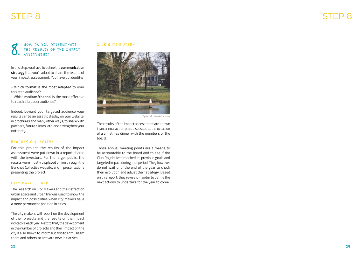### HOW DO YOU DISSEMINATE THE RESULTS OF THE IMPACT<br>ASSESSMENT?

In this step, you have to define the **communication strategy** that you'll adopt to share the results of your impact assessment. You have do identify:

- Which **format** is the most adapted to your targeted audience?

- Which **medium/channel** is the most effective to reach a broader audience?

Indeed, beyond your targeted audience your results can be an asset to display on your website, in brochures and many other ways, to share with partners, future clients, etc. and strengthen your notoriety.

### BENCHES COLLECTIVE

For this project, the results of the impact assessment were put down in a report shared with the investors. For the larger public, the results were mostly displayed online through the Benches Collective website, and in presentations presenting the project.

### CITY MAKERS FUND

The research on City Makers and their effect on urban space and urban life was used to show the impact and possibilities when city makers have a more permanent position in cities.

The city makers will report on the development of their projects and the results on the impact indicators each year. Next to that, the development in the number of projects and their impact on the city is also shown to inform but also to enthusiasm them and others to activate new initiatives.

#### CLUB RHIJNHUIZEN

The results of the impact assessment are shown in an annual action plan, discussed at the occasion of a christmas dinner with the members of the board.

Those annual meeting points are a means to be accountable to the board and to see if the Club Rhijnhuizen reached its previous goals and targeted impact during that period. They however do not wait until the end of the year to check their evolution and adjust their strategy. Based on this report, they revise it in order to define the next actions to undertake for the year to come.



*Figure 16: clubrhijnhuizen.nl/*

### STEP 8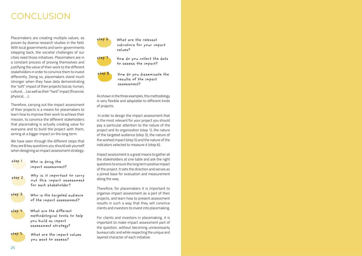### CONCLUSION

Placemakers are creating multiple values, as proven by diverse research studies in the field. With local governments and semi-governments stepping back, the societal challenges of our cities need those initiatives. Placemakers are in a constant process of proving themselves and justifying the value of their work to the different stakeholders in order to convince them to invest differently. Doing so, placemakers stand much stronger when they have data demonstrating the "soft" impact of their projects (social, human, cultural, …) as well as their "hard" impact (financial, physical, …).

Therefore, carrying out the impact assessment of their projects is a means for placemakers to learn how to improve their work to achieve their mission, to convince the different stakeholders that placemaking is actually creating value for everyone and to build the project with them, aiming at a bigger impact on the long term.

We have seen through the different steps that they are 8 key questions you should ask yourself when designing an impact assessment strategy:



As shown in the three examples, this methodology is very flexible and adaptable to different kinds of projects.

step 1 Who is doing the impact assessment?

step 2 Why is it important to carry out this impact assessment for each stakeholder?



step 3 Who is the targeted audience of the impact assessment?

step 4 What are the different methodological tools to help you build an impact assessment strategy?

step S What are the impact values you want to assess?

 In order to design the impact assessment that is the most relevant for your project you should pay a particular attention to the nature of the project and its organization (step 1), the nature of the targeted audience (step 3), the nature of the wished impact (step 5) and the nature of the indicators selected to measure it (step 6).

Impact assessment is a great means to gather all the stakeholders at one table and ask the right questions to ensure the long term positive impact of the project. It sets the direction and serves as a joined base for evaluation and measurement along the way.

Therefore, for placemakers it is important to organise impact assessment as a part of their projects, and learn how to present assessment results in such a way that they will convince clients and investors to invest into placemaking.

For clients and investors in placemaking, it is important to make impact assessment part of the question, without becoming unnecessarily bureaucratic and while respecting the unique and layered character of each initiative.